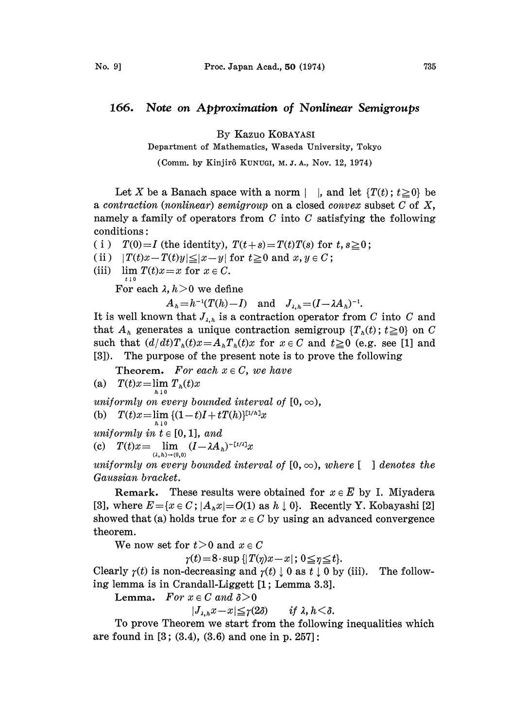## 166. Note on Approximation of Nonlinear Semigroups

By Kazuo KOBAYASI

Department of Mathematics, Waseda University, Tokyo

(Comm. by Kinjirô Kunuci, M. J. A., Nov. 12, 1974).

Let X be a Banach space with a norm | |, and let  $\{T(t); t \geq 0\}$  be a contraction (nonlinear) semigroup on a closed convex subset  $C$  of  $X$ , namely a family of operators from  $C$  into  $C$  satisfying the following conditions:

- ( i )  $T(0)=I$  (the identity),  $T(t+s)=T(t)T(s)$  for  $t, s\geq 0$ ;
- (ii)  $|T(t)x-T(t)y| \leq |x-y|$  for  $t \geq 0$  and  $x, y \in C$ ;
- (iii)  $\lim_{t \downarrow 0} T(t)x = x$  for  $x \in C$ .

For each  $\lambda$ ,  $h > 0$  we define

 $A_h=h^{-1}(T(h)-I)$  and  $J_{\lambda,h}=(I-\lambda A_h)^{-1}$ .

It is well known that  $J_{\lambda,h}$  is a contraction operator from C into C and that  $A_k$  generates a unique contraction semigroup  $\{T_k(t)\;t\geq 0\}$  on C such that  $(d/dt)T_{h}(t)x=A_{h}T_{h}(t)x$  for  $x \in C$  and  $t \geq 0$  (e.g. see [1] and [3]). The purpose of the present note is to prove the following

**Theorem.** For each  $x \in C$ , we have

(a) 
$$
T(t)x = \lim_{h \to 0} T_h(t)x
$$

uniformly on every bounded interval of  $[0, \infty)$ ,

(b)  $T(t)x = \lim_{h \to 0} \{ (1-t)I + tT(h) \}^{[1/h]}x$ 

uniformly in  $t \in [0, 1]$ , and

(c)  $T(t)x = \lim_{( \lambda, h) \to (0,0)} (I - \lambda A_h)^{-\lceil t/\lambda \rceil}x$ 

uniformly on every bounded interval of  $[0, \infty)$ , where  $\lbrack \quad \rbrack$  denotes the Gaussian bracket.

**Remark.** These results were obtained for  $x \in E$  by I. Miyadera [3], where  $E = \{x \in C; |A_h x| = O(1) \text{ as } h \downarrow 0\}$ . Recently Y. Kobayashi [2] showed that (a) holds true for  $x \in C$  by using an advanced convergence theorem.

We now set for  $t>0$  and  $x \in C$ 

 $\gamma(t) = 8 \cdot \sup \{ |T(\eta)x - x|; 0 \leq \eta \leq t \}.$ 

Clearly  $\gamma(t)$  is non-decreasing and  $\gamma(t) \downarrow 0$  as  $t \downarrow 0$  by (iii). The following lemma is in Crandall-Liggett [1; Lemma 3.3].

Lemma. For  $x \in C$  and  $\delta > 0$ 

$$
|J_{\lambda,h}x-x|\leq \gamma(2\delta) \qquad \text{if } \lambda, h<\delta.
$$

To prove Theorem we start from the following inequalities which are found in  $[3; (3.4), (3.6)$  and one in p. 257]: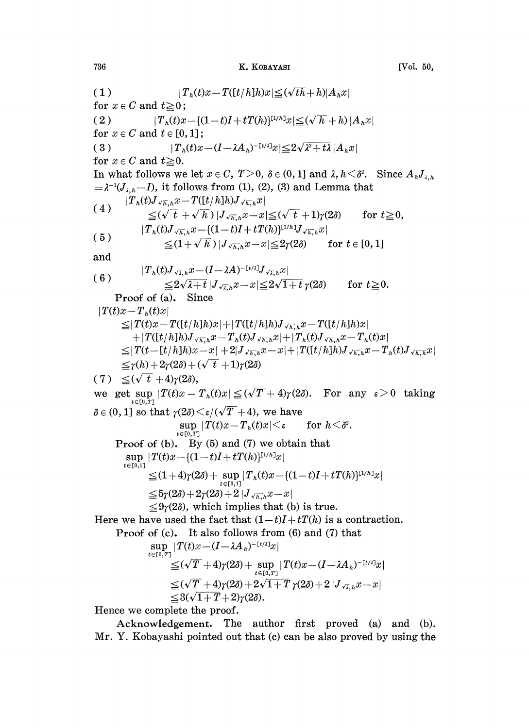## 736 K. KOBAYASI [Vol. 50,

( 1 )  $|T_h(t)x-T([t/h]h)x| \leq (\sqrt{t}h+h)|A_hx|$ for  $x \in C$  and  $t \geq 0$ ; ( 2 )  $|T_h(t)x-\{(1-t)I+tT(h)\}^{[1/h]}x|\leq (\sqrt{h}+h)|A_hx|$ for  $x \in C$  and  $t \in [0, 1]$ ; ( 3 )  $|T_h(t)x-(I-\lambda A_h)^{-\lfloor t/\lambda\rfloor}x|\leq 2\sqrt{\lambda^2+t\lambda}|A_hx|$ for  $x \in C$  and  $t \ge 0$ . In what follows we let  $x \in C$ ,  $T > 0$ ,  $\delta \in (0, 1]$  and  $\lambda$ ,  $h < \delta^2$ . Since  $A_{h} J_{\lambda, h}$  $=\lambda^{-1}(J_{\lambda,h}-I)$ , it follows from (1), (2), (3) and Lemma that  $|T_h(t)J_{\sqrt{h},h}x-T([t/h]h)J_{\sqrt{h},h}x|$ (4) (5)  $\leq (\sqrt{t} + \sqrt{h}) |J_{\sqrt{h},h}x - x| \leq (\sqrt{t} + 1)\gamma(2\delta)$  for  $t \geq 0$ ,  $|T_h(t)J_{\sqrt{h},h}x-\{(1-t)I + tT(h)\}^{[1/h]}J_{\sqrt{h},h}x|$  $\leq (1+\sqrt{\overline{h}})|J_{\sqrt{\overline{h}},\hbar}x-x|\leq 2\gamma(2\delta)$  for  $t\in [0,1]$ and  $|T_h(t)J_{\sqrt{\lambda},h}x-(I-\lambda A)^{-\lceil t/\lambda\rceil}J_{\sqrt{\lambda},h}x|$ (6)  $\frac{2\sqrt{\lambda_+k}}{\sqrt{2\sqrt{1+t}}}$   $\frac{1}{\sqrt{\lambda_-k}}x-x \leq 2\sqrt{1+t} \gamma(2\delta)$ Proof of (a), Since  $|T(t)x-T_{h}(t)x|$ for  $t\geq 0$ .  $\leq$ |T(t)x-T([t/h]h)x|+|T([t/h]h)J<sub>/k-k</sub>x-T([t/h]h)x|  $+|T([t/h]h)J_{\sqrt{h},h}x-T_h(t)J_{\sqrt{h},h}x|+|T_h(t)J_{\sqrt{h},h}x-T_h(t)x|$  $\leq\!\!|T(t\!-\![t/h]h)x\!-\!x|+2|J_{\sqrt{h},h}x\!-\!x|+|T([t/h]h)J_{\sqrt{h},h}x\!-\!T_h(t)J_{\sqrt{h},h}x|$  $\leq \gamma(h)+2\gamma(2\delta)+(\sqrt{t}+1)\gamma(2\delta)$  $(7) \leq (\sqrt{t} + 4) \gamma(2\delta),$ we get sup  $|T(t)x - T_h(t)x| \leq (\sqrt{T} + 4)\gamma(2\delta)$ . For any  $\varepsilon > 0$  taking  $t\in[0,T]$  $\delta \in (0, 1]$  so that  $\gamma(2\delta) \leq \varepsilon/(\sqrt{T} + 4)$ , we have  $\sup_{t\in[0,T]}|T(t)x\!-\!T_{h}(t)x|\!\!<\!\!\varepsilon \qquad\text{for}\,\,h\!<\!\delta^{2}.$ Proof of (b). By (5) and (7) we obtain that  $\sup |T(t)x - (1-t)I + tT(h)^{[1/h]}x|$  $t \in [0,1]$  $\leq (1+4)\gamma(2\delta) + \sup_{t\in [0,1]} \lvert T_{h}(t)x - \{(1-t)I + tT(h)\}^{\mathbb{L}^{1/h} \rvert}_{\mathcal{X}} \rvert$  $\leq 5\gamma(2\delta) + 2\gamma(2\delta) + 2|J_{\sqrt{h_1},h}x - x|$  $\leq 9\gamma(2\delta)$ , which implies that (b) is true. Here we have used the fact that  $(1-t)I+tT(h)$  is a contraction. Proof of (c), It also follows from (6) and (7) that  $\sup_{t\in [\mathbb{0}, T]}|T(t)x\!-\!(I\!-\!\lambda A_{\,h})^{-[\,t/\lambda]}x$  $\leq$  (  $\sqrt{T}$  +4) $\gamma$ (2 $\delta$ ) +  $\sup_{t\in [0,T]}|T(t)x-(I-\lambda A_{_h})^{-\lceil t/\lambda \rceil}x|$  $\leq (\sqrt{T} + 4)\gamma(2\delta) + 2\sqrt{1+T} \gamma(2\delta) + 2|J_{\sqrt{x},h}x - x|$  $\leq 3(\sqrt{1+T}+2)\gamma(2\delta).$ 

Hence we complete the proof.

Acknowledgement, The author first proved (a) and (b). Mr. Y. Kobayashi pointed out that (c) can be also proved by using the